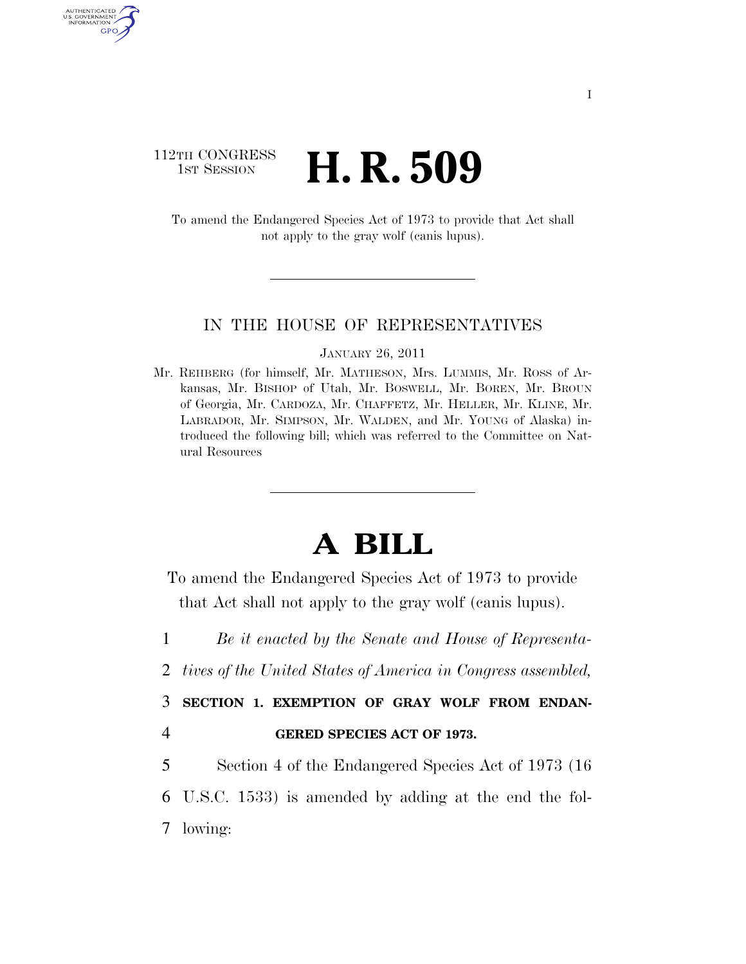# 112TH CONGRESS **1st Session H. R. 509**

AUTHENTICATED U.S. GOVERNMENT GPO

> To amend the Endangered Species Act of 1973 to provide that Act shall not apply to the gray wolf (canis lupus).

### IN THE HOUSE OF REPRESENTATIVES

#### JANUARY 26, 2011

Mr. REHBERG (for himself, Mr. MATHESON, Mrs. LUMMIS, Mr. ROSS of Arkansas, Mr. BISHOP of Utah, Mr. BOSWELL, Mr. BOREN, Mr. BROUN of Georgia, Mr. CARDOZA, Mr. CHAFFETZ, Mr. HELLER, Mr. KLINE, Mr. LABRADOR, Mr. SIMPSON, Mr. WALDEN, and Mr. YOUNG of Alaska) introduced the following bill; which was referred to the Committee on Natural Resources

# **A BILL**

To amend the Endangered Species Act of 1973 to provide that Act shall not apply to the gray wolf (canis lupus).

1 *Be it enacted by the Senate and House of Representa-*

2 *tives of the United States of America in Congress assembled,* 

3 **SECTION 1. EXEMPTION OF GRAY WOLF FROM ENDAN-**

## 4 **GERED SPECIES ACT OF 1973.**

5 Section 4 of the Endangered Species Act of 1973 (16 6 U.S.C. 1533) is amended by adding at the end the fol-7 lowing: